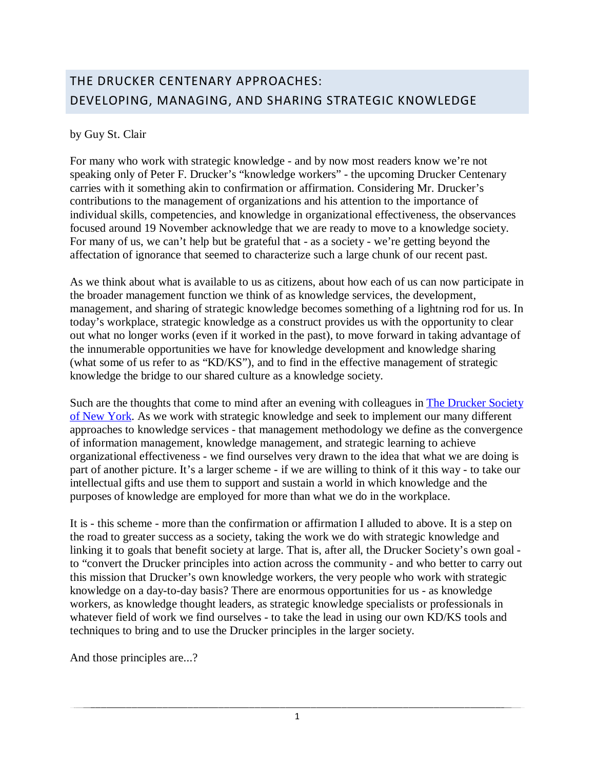## THE DRUCKER CENTENARY APPROACHES: DEVELOPING, MANAGING, AND SHARING STRATEGIC KNOWLEDGE

## by Guy St. Clair

For many who work with strategic knowledge - and by now most readers know we're not speaking only of Peter F. Drucker's "knowledge workers" - the upcoming Drucker Centenary carries with it something akin to confirmation or affirmation. Considering Mr. Drucker's contributions to the management of organizations and his attention to the importance of individual skills, competencies, and knowledge in organizational effectiveness, the observances focused around 19 November acknowledge that we are ready to move to a knowledge society. For many of us, we can't help but be grateful that - as a society - we're getting beyond the affectation of ignorance that seemed to characterize such a large chunk of our recent past.

As we think about what is available to us as citizens, about how each of us can now participate in the broader management function we think of as knowledge services, the development, management, and sharing of strategic knowledge becomes something of a lightning rod for us. In today's workplace, strategic knowledge as a construct provides us with the opportunity to clear out what no longer works (even if it worked in the past), to move forward in taking advantage of the innumerable opportunities we have for knowledge development and knowledge sharing (what some of us refer to as "KD/KS"), and to find in the effective management of strategic knowledge the bridge to our shared culture as a knowledge society.

Such are the thoughts that come to mind after an evening with colleagues in [The Drucker Society](http://www.druckersocietynyc.org/Drucker_Society_of_New_York_City/Home.html)  [of New York.](http://www.druckersocietynyc.org/Drucker_Society_of_New_York_City/Home.html) As we work with strategic knowledge and seek to implement our many different approaches to knowledge services - that management methodology we define as the convergence of information management, knowledge management, and strategic learning to achieve organizational effectiveness - we find ourselves very drawn to the idea that what we are doing is part of another picture. It's a larger scheme - if we are willing to think of it this way - to take our intellectual gifts and use them to support and sustain a world in which knowledge and the purposes of knowledge are employed for more than what we do in the workplace.

It is - this scheme - more than the confirmation or affirmation I alluded to above. It is a step on the road to greater success as a society, taking the work we do with strategic knowledge and linking it to goals that benefit society at large. That is, after all, the Drucker Society's own goal to "convert the Drucker principles into action across the community - and who better to carry out this mission that Drucker's own knowledge workers, the very people who work with strategic knowledge on a day-to-day basis? There are enormous opportunities for us - as knowledge workers, as knowledge thought leaders, as strategic knowledge specialists or professionals in whatever field of work we find ourselves - to take the lead in using our own KD/KS tools and techniques to bring and to use the Drucker principles in the larger society.

And those principles are...?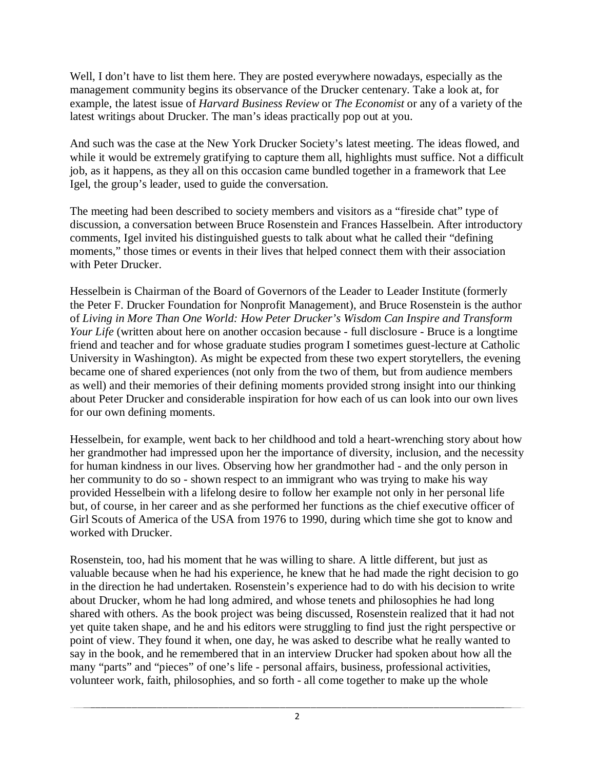Well, I don't have to list them here. They are posted everywhere nowadays, especially as the management community begins its observance of the Drucker centenary. Take a look at, for example, the latest issue of *Harvard Business Review* or *The Economist* or any of a variety of the latest writings about Drucker. The man's ideas practically pop out at you.

And such was the case at the New York Drucker Society's latest meeting. The ideas flowed, and while it would be extremely gratifying to capture them all, highlights must suffice. Not a difficult job, as it happens, as they all on this occasion came bundled together in a framework that Lee Igel, the group's leader, used to guide the conversation.

The meeting had been described to society members and visitors as a "fireside chat" type of discussion, a conversation between Bruce Rosenstein and Frances Hasselbein. After introductory comments, Igel invited his distinguished guests to talk about what he called their "defining moments," those times or events in their lives that helped connect them with their association with Peter Drucker.

Hesselbein is Chairman of the Board of Governors of the Leader to Leader Institute (formerly the Peter F. Drucker Foundation for Nonprofit Management), and Bruce Rosenstein is the author of *Living in More Than One World: How Peter Drucker's Wisdom Can Inspire and Transform Your Life* (written about here on another occasion because - full disclosure - Bruce is a longtime friend and teacher and for whose graduate studies program I sometimes guest-lecture at Catholic University in Washington). As might be expected from these two expert storytellers, the evening became one of shared experiences (not only from the two of them, but from audience members as well) and their memories of their defining moments provided strong insight into our thinking about Peter Drucker and considerable inspiration for how each of us can look into our own lives for our own defining moments.

Hesselbein, for example, went back to her childhood and told a heart-wrenching story about how her grandmother had impressed upon her the importance of diversity, inclusion, and the necessity for human kindness in our lives. Observing how her grandmother had - and the only person in her community to do so - shown respect to an immigrant who was trying to make his way provided Hesselbein with a lifelong desire to follow her example not only in her personal life but, of course, in her career and as she performed her functions as the chief executive officer of Girl Scouts of America of the USA from 1976 to 1990, during which time she got to know and worked with Drucker.

Rosenstein, too, had his moment that he was willing to share. A little different, but just as valuable because when he had his experience, he knew that he had made the right decision to go in the direction he had undertaken. Rosenstein's experience had to do with his decision to write about Drucker, whom he had long admired, and whose tenets and philosophies he had long shared with others. As the book project was being discussed, Rosenstein realized that it had not yet quite taken shape, and he and his editors were struggling to find just the right perspective or point of view. They found it when, one day, he was asked to describe what he really wanted to say in the book, and he remembered that in an interview Drucker had spoken about how all the many "parts" and "pieces" of one's life - personal affairs, business, professional activities, volunteer work, faith, philosophies, and so forth - all come together to make up the whole